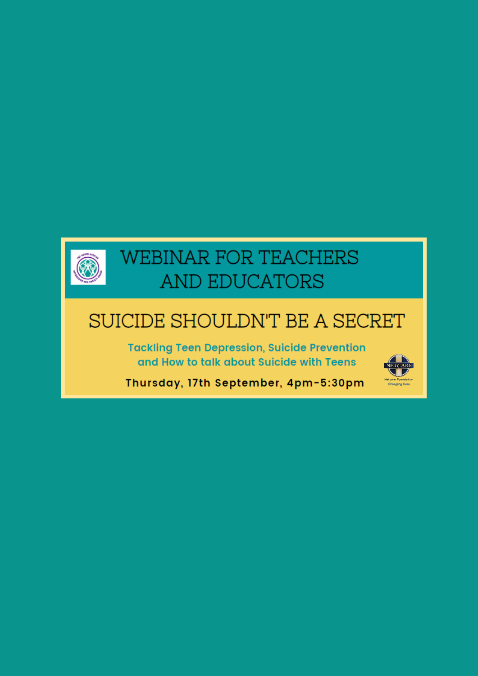

# **WEBINAR FOR TEACHERS** AND EDUCATORS

## SUICIDE SHOULDN'T BE A SECRET

**Tackling Teen Depression, Suicide Prevention** and How to talk about Suicide with Teens



Thursday, 17th September, 4pm-5:30pm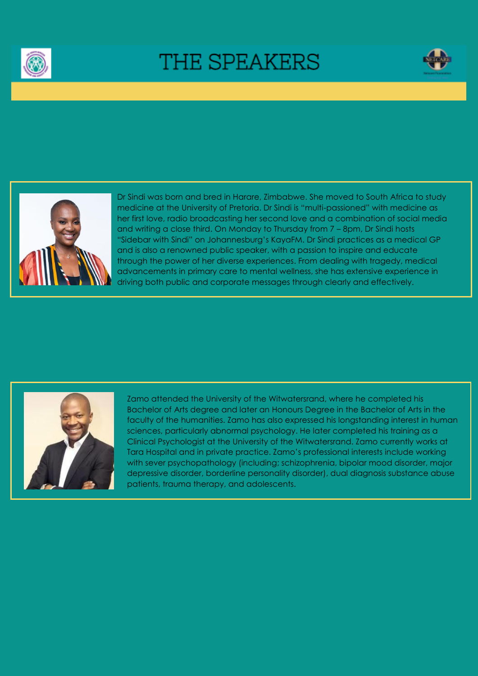

# THE SPEAKERS





Dr Sindi was born and bred in Harare, Zimbabwe. She moved to South Africa to study medicine at the University of Pretoria. Dr Sindi is "multi-passioned" with medicine as her first love, radio broadcasting her second love and a combination of social media and writing a close third. On Monday to Thursday from 7 – 8pm, Dr Sindi hosts "Sidebar with Sindi" on Johannesburg's KayaFM. Dr Sindi practices as a medical GP and is also a renowned public speaker, with a passion to inspire and educate through the power of her diverse experiences. From dealing with tragedy, medical advancements in primary care to mental wellness, she has extensive experience in driving both public and corporate messages through clearly and effectively.



Zamo attended the University of the Witwatersrand, where he completed his Bachelor of Arts degree and later an Honours Degree in the Bachelor of Arts in the faculty of the humanities. Zamo has also expressed his longstanding interest in human sciences, particularly abnormal psychology. He later completed his training as a Clinical Psychologist at the University of the Witwatersrand. Zamo currently works at Tara Hospital and in private practice. Zamo's professional interests include working with sever psychopathology (including; schizophrenia, bipolar mood disorder, major depressive disorder, borderline personality disorder), dual diagnosis substance abuse patients, trauma therapy, and adolescents.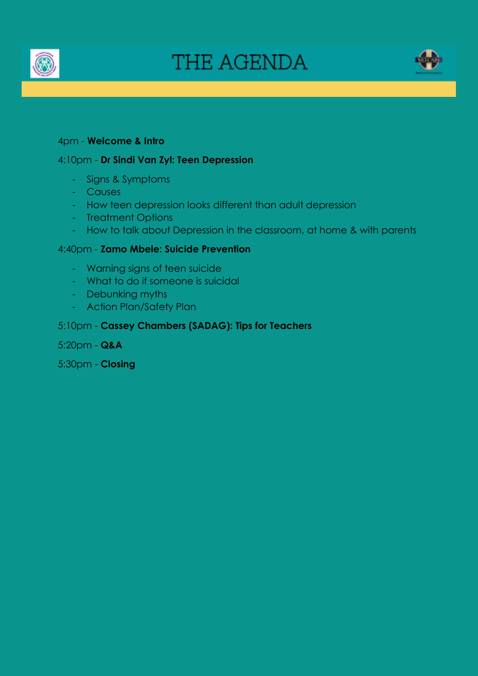

# THE AGENDA



### 4pm - **Welcome & Intro**

### 4:10pm - **Dr Sindi Van Zyl: Teen Depression**

- Signs & Symptoms
- Causes
- How teen depression looks different than adult depression
- Treatment Options
- How to talk about Depression in the classroom, at home & with parents

### 4:40pm - **Zamo Mbele: Suicide Prevention**

- Warning signs of teen suicide
- What to do if someone is suicidal
- Debunking myths
- Action Plan/Safety Plan

### 5:10pm - **Cassey Chambers (SADAG): Tips for Teachers**

5:20pm - **Q&A**

5:30pm - **Closing**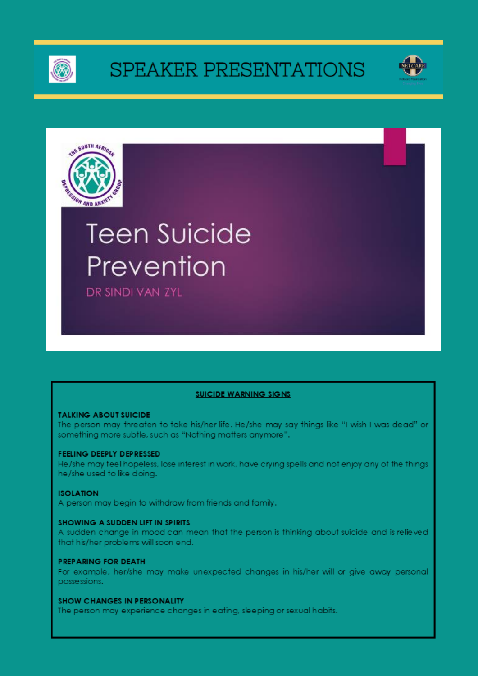

# SPEAKER PRESENTATIONS





# **Teen Suicide** Prevention

DR SINDI VAN ZYL

### **SUICIDE WARNING SIGNS**

#### **TALKING ABOUT SUICIDE**

The person may threaten to take his/her life. He/she may say things like "I wish I was dead" or something more subtle, such as "Nothing matters anymore".

#### FEELING DEEPLY DEPRESSED

He/she may feel hopeless, lose interest in work, have crying spells and not enjoy any of the things he/she used to like doina.

#### **ISOLATION**

A person may begin to withdraw from friends and family.

#### **SHOWING A SUDDEN LIFT IN SPIRITS**

A sudden change in mood can mean that the person is thinking about suicide and is relieved that his/her problems will soon end.

#### **PREPARING FOR DEATH**

For example, her/she may make unexpected changes in his/her will or give away personal possessions.

#### **SHOW CHANGES IN PERSONALITY**

The person may experience changes in eating, sleeping or sexual habits.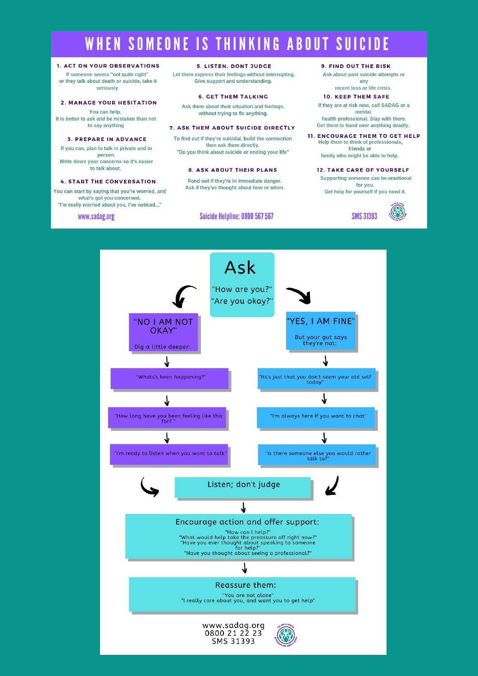### WHEN SOMEONE IS THINKING ABOUT SUICIDE

#### 1. ACT ON YOUR OBSERVATIONS

If someone seems "not quite right" or they talk about death or suicide, take it seriously

#### **2. MANAGE YOUR HESITATION**

You can help. It is better to ask and be mistaken than not to say anything

#### **3. PREPARE IN ADVANCE**

If you can, plan to talk in private and in person. Write down your concerns so it's easier to talk about.

#### **4. START THE CONVERSATION**

You can start by saying that you're worried, and what's got you concerned. "I'm really worried about you, I've noticed..."

www.sadag.org

#### **5. LISTEN, DONT JUDGE**

Let them express their feelings without interrupting. Give support and understanding.

#### **6. CET THEM TALKING**

Ask them about their situation and feelings, without trying to fix anything.

#### 7. ASK THEM ABOUT SUICIDE DIRECTLY

To find out if they're suicidal, build the connection then ask them directly. "Do you think about suicide or ending your life"

#### **8. ASK ABOUT THEIR PLANS**

Fond out if they're in immediate danger. Ask if they've thought about how or when.

#### Suicide Helpline: 0800 567 567

#### **9. FIND OUT THE RISK**

Ask about past suicide attempts or any

#### recent loss or life crisis.

**10. KEEP THEM SAFE** If they are at risk now, call SADAG or a

mental health professional. Stay with them. Get them to hand over anything deadly.

- **11. ENCOURAGE THEM TO GET HELP** Help them to think of professionals, friends or family who might be able to help.
	- **12. TAKE CARE OF YOURSELF** Supporting someone can be emotional for you. Get help for yourself if you need it.



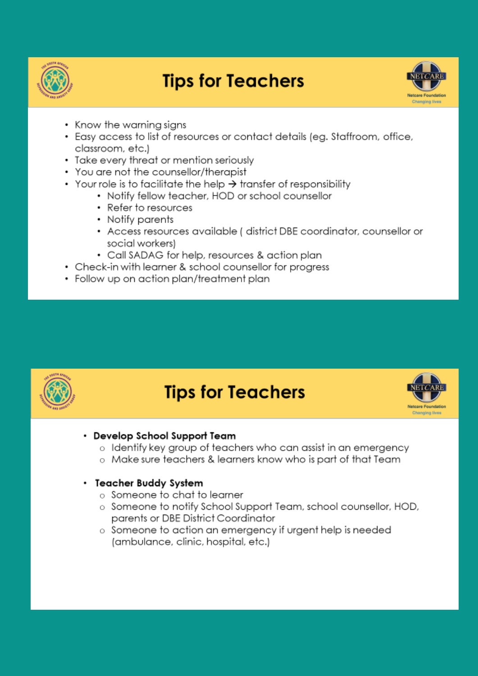

## **Tips for Teachers**



- Know the warning signs
- Easy access to list of resources or contact details (eg. Staffroom, office, classroom, etc.)
- Take every threat or mention seriously
- You are not the counsellor/therapist
- Your role is to facilitate the help  $\rightarrow$  transfer of responsibility
	- Notify fellow teacher, HOD or school counsellor
	- Refer to resources
	- Notify parents
	- Access resources available ( district DBE coordinator, counsellor or social workers)
	- Call SADAG for help, resources & action plan
- Check-in with learner & school counsellor for progress
- Follow up on action plan/treatment plan



### **Tips for Teachers**



### • Develop School Support Team

- o Identify key aroup of teachers who can assist in an emergency
- o Make sure teachers & learners know who is part of that Team

### • Teacher Buddy System

- $\circ$  Someone to chat to learner
- o Someone to notify School Support Team, school counsellor, HOD, parents or DBE District Coordinator
- o Someone to action an emergency if urgent help is needed (ambulance, clinic, hospital, etc.)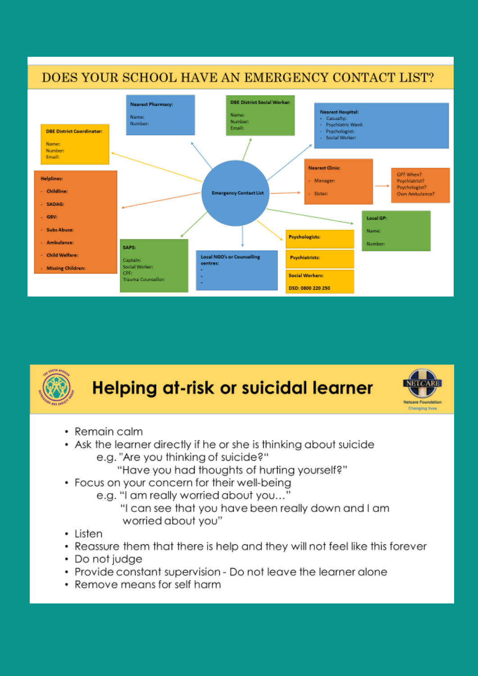



# **Helping at-risk or suicidal learner**



- Remain calm
- Ask the learner directly if he or she is thinking about suicide e.a. "Are you thinking of suicide?"
	- "Have you had thoughts of hurting yourself?"
- Focus on your concern for their well-being
	- e.g. "I am really worried about you..."
		- "I can see that you have been really down and I am worried about you"
- Listen
- Reassure them that there is help and they will not feel like this forever ٠
- Do not judge
- Provide constant supervision Do not leave the learner alone
- Remove means for self harm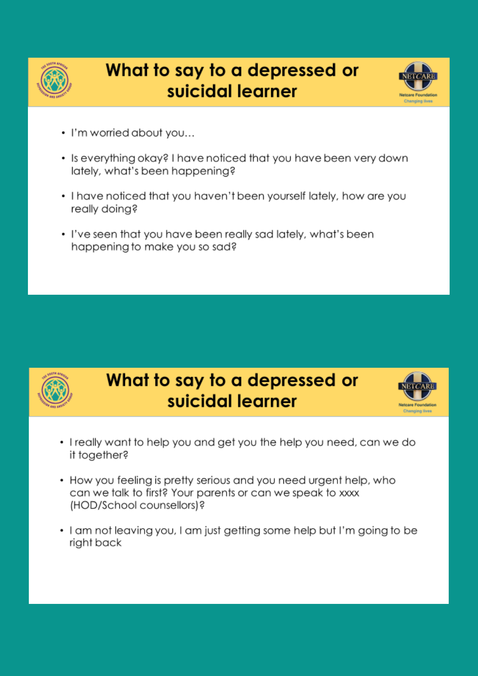

## What to say to a depressed or suicidal learner



- I'm worried about you...
- Is everything okay? I have noticed that you have been very down lately, what's been happening?
- . I have noticed that you haven't been yourself lately, how are you really doing?
- . I've seen that you have been really sad lately, what's been happening to make you so sad?



- I really want to help you and get you the help you need, can we do it together?
- How you feeling is pretty serious and you need urgent help, who can we talk to first? Your parents or can we speak to xxxx (HOD/School counsellors)?
- I am not leaving you, I am just getting some help but I'm going to be right back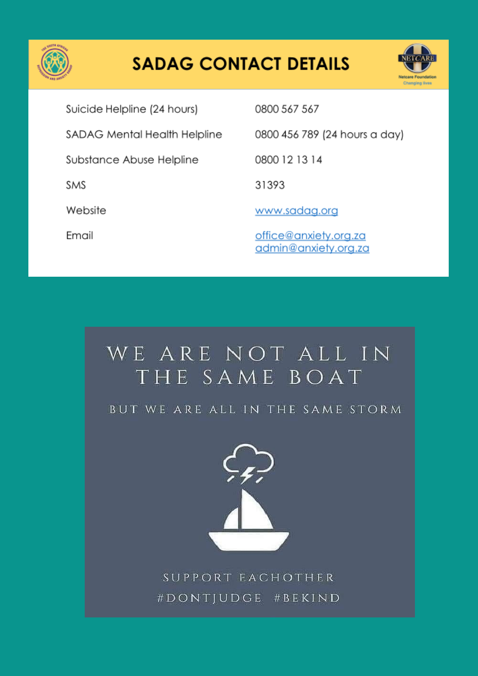

# **SADAG CONTACT DETAILS**



Suicide Helpline (24 hours) SADAG Mental Health Helpline Substance Abuse Helpline SMS Website Email

0800 567 567

0800 456 789 (24 hours a day)

0800 12 13 14

31393

www.sadag.org

office@anxiety.org.za admin@anxiety.org.za

# WE ARE NOT ALL IN THE SAME BOAT

BUT WE ARE ALL IN THE SAME STORM



SUPPORT EACHOTHER #DONTJUDGE #BEKIND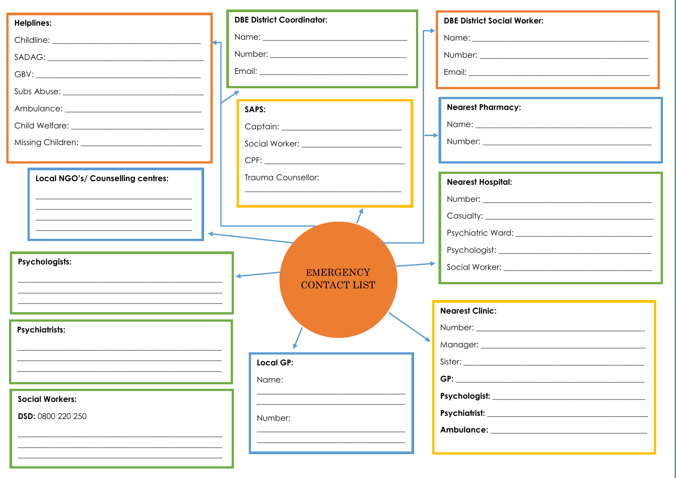| <b>Helplines:</b>                 | <b>DBE District Coordinator:</b> | <b>DBE District Social Worker:</b> |
|-----------------------------------|----------------------------------|------------------------------------|
|                                   |                                  |                                    |
|                                   |                                  |                                    |
|                                   |                                  |                                    |
|                                   |                                  |                                    |
|                                   | SAPS:                            | <b>Nearest Pharmacy:</b>           |
|                                   |                                  |                                    |
|                                   |                                  |                                    |
|                                   |                                  |                                    |
| Local NGO's/ Counselling centres: | Trauma Counsellor:               | <b>Nearest Hospital:</b>           |
|                                   |                                  |                                    |
|                                   |                                  |                                    |
|                                   |                                  |                                    |
|                                   |                                  |                                    |
|                                   |                                  |                                    |
| Psychologists:                    | <b>EMERGENCY</b>                 |                                    |
|                                   | <b>CONTACT LIST</b>              |                                    |
|                                   |                                  |                                    |
|                                   |                                  | <b>Nearest Clinic:</b>             |
| <b>Psychiatrists:</b>             |                                  |                                    |
|                                   |                                  |                                    |
|                                   | <b>Local GP:</b>                 | Sister:                            |
|                                   | Name:                            |                                    |
| <b>Social Workers:</b>            |                                  |                                    |
| DSD: 0800 220 250                 | Number:                          |                                    |
|                                   |                                  |                                    |
|                                   |                                  |                                    |
|                                   |                                  |                                    |